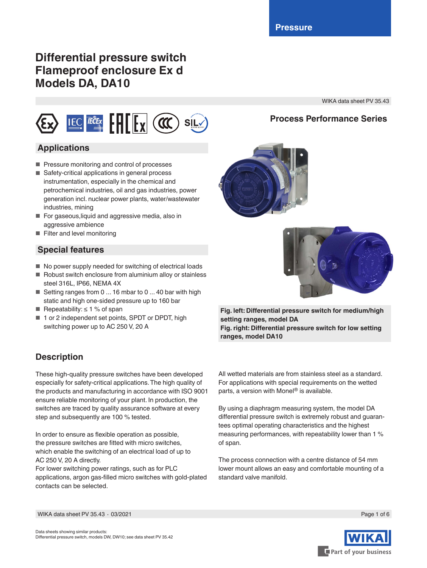# **Differential pressure switch Flameproof enclosure Ex d Models DA, DA10**

WIKA data sheet PV 35.43

**Process Performance Series**

# LEC TECEX HILLY (CC) SILV

# **Applications**

- Pressure monitoring and control of processes
- Safety-critical applications in general process instrumentation, especially in the chemical and petrochemical industries, oil and gas industries, power generation incl. nuclear power plants, water/wastewater industries, mining
- For gaseous, liquid and aggressive media, also in aggressive ambience
- Filter and level monitoring

## **Special features**

- No power supply needed for switching of electrical loads
- Robust switch enclosure from aluminium alloy or stainless steel 316L, IP66, NEMA 4X
- Setting ranges from 0 ... 16 mbar to 0 ... 40 bar with high static and high one-sided pressure up to 160 bar
- Repeatability:  $\leq 1$  % of span
- 1 or 2 independent set points, SPDT or DPDT, high switching power up to AC 250 V, 20 A

# **Description**

These high-quality pressure switches have been developed especially for safety-critical applications. The high quality of the products and manufacturing in accordance with ISO 9001 ensure reliable monitoring of your plant. In production, the switches are traced by quality assurance software at every step and subsequently are 100 % tested.

In order to ensure as flexible operation as possible, the pressure switches are fitted with micro switches, which enable the switching of an electrical load of up to AC 250 V, 20 A directly.

For lower switching power ratings, such as for PLC applications, argon gas-filled micro switches with gold-plated contacts can be selected.



By using a diaphragm measuring system, the model DA differential pressure switch is extremely robust and guarantees optimal operating characteristics and the highest measuring performances, with repeatability lower than 1 % of span.

The process connection with a centre distance of 54 mm lower mount allows an easy and comfortable mounting of a standard valve manifold.





**Fig. left: Differential pressure switch for medium/high setting ranges, model DA Fig. right: Differential pressure switch for low setting ranges, model DA10**

WIKA data sheet PV 35.43 ∙ 03/2021



Page 1 of 6

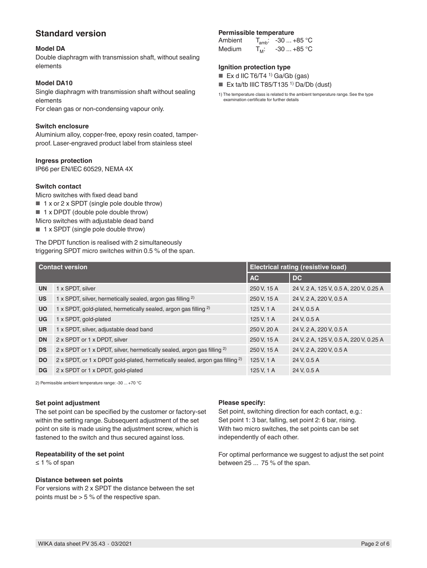## **Standard version**

#### **Model DA**

Double diaphragm with transmission shaft, without sealing elements

#### **Model DA10**

Single diaphragm with transmission shaft without sealing elements

For clean gas or non-condensing vapour only.

#### **Switch enclosure**

Aluminium alloy, copper-free, epoxy resin coated, tamperproof. Laser-engraved product label from stainless steel

#### **Ingress protection**

IP66 per EN/lEC 60529, NEMA 4X

#### **Switch contact**

Micro switches with fixed dead band

- 1 x or 2 x SPDT (single pole double throw)
- 1 x DPDT (double pole double throw)
- Micro switches with adjustable dead band
- 1 x SPDT (single pole double throw)

The DPDT function is realised with 2 simultaneously triggering SPDT micro switches within 0.5 % of the span.

#### **Permissible temperature**

| Ambient       |         | $T_{amb}$ : -30  +85 °C |
|---------------|---------|-------------------------|
| <b>Medium</b> | $T_M$ : | $-30+85$ °C             |

#### **Ignition protection type**

- $\blacksquare$  Ex d IIC T6/T4<sup>1)</sup> Ga/Gb (gas)
- Ex ta/tb IIIC T85/T135<sup>1</sup> Da/Db (dust)

1) The temperature class is related to the ambient temperature range. See the type examination certificate for further details

| <b>Contact version</b> |                                                                                         | Electrical rating (resistive load) |                                        |  |
|------------------------|-----------------------------------------------------------------------------------------|------------------------------------|----------------------------------------|--|
|                        |                                                                                         | <b>AC</b>                          | <b>DC</b>                              |  |
| <b>UN</b>              | 1 x SPDT, silver                                                                        | 250 V, 15 A                        | 24 V, 2 A, 125 V, 0.5 A, 220 V, 0.25 A |  |
| <b>US</b>              | 1 x SPDT, silver, hermetically sealed, argon gas filling <sup>2)</sup>                  | 250 V, 15 A                        | 24 V, 2 A, 220 V, 0.5 A                |  |
| <b>UO</b>              | 1 x SPDT, gold-plated, hermetically sealed, argon gas filling <sup>2)</sup>             | 125 V, 1 A                         | 24 V, 0.5 A                            |  |
| <b>UG</b>              | 1 x SPDT, gold-plated                                                                   | 125 V, 1 A                         | 24 V, 0.5 A                            |  |
| <b>UR</b>              | 1 x SPDT, silver, adjustable dead band                                                  | 250 V, 20 A                        | 24 V, 2 A, 220 V, 0.5 A                |  |
| <b>DN</b>              | 2 x SPDT or 1 x DPDT, silver                                                            | 250 V, 15 A                        | 24 V, 2 A, 125 V, 0.5 A, 220 V, 0.25 A |  |
| <b>DS</b>              | 2 x SPDT or 1 x DPDT, silver, hermetically sealed, argon gas filling $^{2)}$            | 250 V, 15 A                        | 24 V, 2 A, 220 V, 0.5 A                |  |
| <b>DO</b>              | 2 x SPDT, or 1 x DPDT gold-plated, hermetically sealed, argon gas filling <sup>2)</sup> | 125 V, 1 A                         | 24 V, 0.5 A                            |  |
| <b>DG</b>              | 2 x SPDT or 1 x DPDT, gold-plated                                                       | 125 V, 1 A                         | 24 V. 0.5 A                            |  |

2) Permissible ambient temperature range: -30 ... +70 °C

#### **Set point adjustment**

The set point can be specified by the customer or factory-set within the setting range. Subsequent adjustment of the set point on site is made using the adjustment screw, which is fastened to the switch and thus secured against loss.

#### **Repeatability of the set point**

 $\leq$  1 % of span

#### **Distance between set points**

For versions with 2 x SPDT the distance between the set points must be  $> 5 %$  of the respective span.

#### **Please specify:**

Set point, switching direction for each contact, e.g.: Set point 1: 3 bar, falling, set point 2: 6 bar, rising. With two micro switches, the set points can be set independently of each other.

For optimal performance we suggest to adjust the set point between 25 ... 75 % of the span.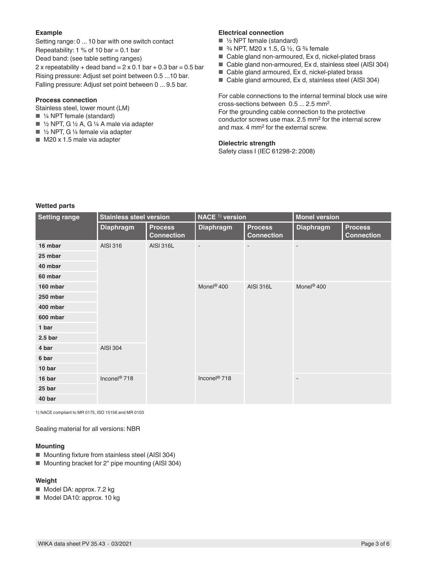#### **Example**

Setting range: 0 ... 10 bar with one switch contact Repeatability:  $1\%$  of 10 bar = 0.1 bar Dead band: (see table setting ranges) 2 x repeatability + dead band =  $2 \times 0.1$  bar + 0.3 bar = 0.5 bar Rising pressure: Adjust set point between 0.5 ...10 bar. Falling pressure: Adjust set point between 0 ... 9.5 bar.

#### **Process connection**

Stainless steel, lower mount (LM)

- ¼ NPT female (standard)
- $\blacksquare$  1/2 NPT, G 1/2 A, G 1/4 A male via adapter
- $\blacksquare$  1/2 NPT, G 1/4 female via adapter
- M20 x 1.5 male via adapter

#### **Electrical connection**

- ½ NPT female (standard)
- $\frac{3}{4}$  NPT, M20 x 1.5, G ½, G ¼ female
- Cable gland non-armoured, Ex d, nickel-plated brass
- Cable gland non-armoured, Ex d, stainless steel (AISI 304)
- Cable gland armoured, Ex d, nickel-plated brass
- Cable gland armoured, Ex d, stainless steel (AISI 304)

For cable connections to the internal terminal block use wire cross-sections between 0.5 ... 2.5 mm2. For the grounding cable connection to the protective conductor screws use max. 2.5 mm2 for the internal screw and max. 4 mm2 for the external screw.

#### **Dielectric strength**

Safety class I (IEC 61298-2: 2008)

#### **Wetted parts**

| <b>Setting range</b> | <b>Stainless steel version</b> |                                     | NACE <sup>1)</sup> version |                                     | <b>Monel version</b>     |                                     |
|----------------------|--------------------------------|-------------------------------------|----------------------------|-------------------------------------|--------------------------|-------------------------------------|
|                      | <b>Diaphragm</b>               | <b>Process</b><br><b>Connection</b> | <b>Diaphragm</b>           | <b>Process</b><br><b>Connection</b> | <b>Diaphragm</b>         | <b>Process</b><br><b>Connection</b> |
| 16 mbar              | AISI 316                       | <b>AISI 316L</b>                    | $\overline{\phantom{m}}$   |                                     | $\overline{\phantom{m}}$ |                                     |
| 25 mbar              |                                |                                     |                            |                                     |                          |                                     |
| 40 mbar              |                                |                                     |                            |                                     |                          |                                     |
| 60 mbar              |                                |                                     |                            |                                     |                          |                                     |
| 160 mbar             |                                |                                     | Monel <sup>®</sup> 400     | <b>AISI 316L</b>                    | Monel <sup>®</sup> 400   |                                     |
| 250 mbar             |                                |                                     |                            |                                     |                          |                                     |
| 400 mbar             |                                |                                     |                            |                                     |                          |                                     |
| 600 mbar             | <b>AISI 304</b>                |                                     |                            |                                     |                          |                                     |
| 1 bar                |                                |                                     |                            |                                     |                          |                                     |
| 2.5 <sub>bar</sub>   |                                |                                     |                            |                                     |                          |                                     |
| 4 bar                |                                |                                     |                            |                                     |                          |                                     |
| 6 bar                |                                |                                     |                            |                                     |                          |                                     |
| 10 bar               |                                |                                     |                            |                                     |                          |                                     |
| 16 bar               | Inconel <sup>®</sup> 718       |                                     | Inconel <sup>®</sup> 718   |                                     | $\overline{\phantom{a}}$ |                                     |
| 25 bar               |                                |                                     |                            |                                     |                          |                                     |
| 40 bar               |                                |                                     |                            |                                     |                          |                                     |

1) NACE compliant to MR 0175, ISO 15156 and MR 0103

Sealing material for all versions: NBR

#### **Mounting**

- Mounting fixture from stainless steel (AISI 304)
- Mounting bracket for 2" pipe mounting (AISI 304)

#### **Weight**

- Model DA: approx. 7.2 kg
- Model DA10: approx. 10 kg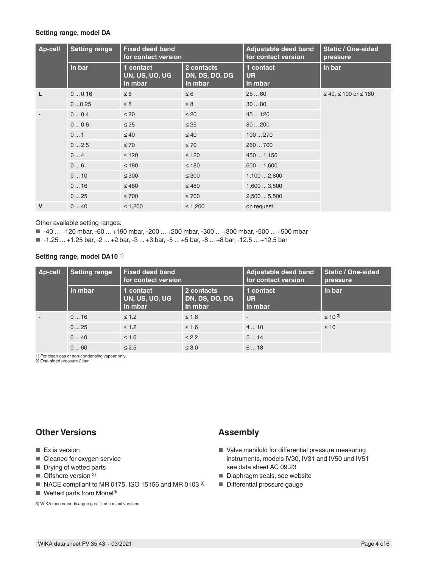#### **Setting range, model DA**

| $\Delta p$ -cell | <b>Setting range</b> | <b>Fixed dead band</b><br>for contact version |                                         | Adjustable dead band<br>for contact version | <b>Static / One-sided</b><br>pressure |
|------------------|----------------------|-----------------------------------------------|-----------------------------------------|---------------------------------------------|---------------------------------------|
|                  | in bar               | 1 contact<br>UN, US, UO, UG<br>in mbar        | 2 contacts<br>DN, DS, DO, DG<br>in mbar | 1 contact<br><b>UR</b><br>in mbar           | in bar                                |
| L                | 00.16                | $\leq 6$                                      | $\leq 6$                                | 2560                                        | $≤ 40, ≤ 100$ or $≤ 160$              |
|                  | 00.25                | $\leq 8$                                      | $\leq 8$                                | 3080                                        |                                       |
|                  | 00.4                 | $\leq 20$                                     | $\leq 20$                               | 45  120                                     |                                       |
|                  | 00.6                 | $\leq 25$                                     | $\leq 25$                               | 80200                                       |                                       |
|                  | 01                   | $\leq 40$                                     | $\leq 40$                               | 100270                                      |                                       |
|                  | 02.5                 | $\leq 70$                                     | $\leq 70$                               | 260  700                                    |                                       |
|                  | 04                   | $\leq 120$                                    | $\leq 120$                              | 4501,150                                    |                                       |
|                  | 06                   | $\leq 180$                                    | $\leq 180$                              | 6001,600                                    |                                       |
|                  | 010                  | $\leq 300$                                    | $\leq 300$                              | 1,1002,800                                  |                                       |
|                  | 016                  | $\leq 480$                                    | $\leq 480$                              | 1,6003,500                                  |                                       |
|                  | 025                  | $\leq 700$                                    | $\leq 700$                              | 2,5005,500                                  |                                       |
| $\mathsf{V}$     | 040                  | $\leq 1,200$                                  | $\leq 1,200$                            | on request                                  |                                       |

Other available setting ranges:

■ -40 ... +120 mbar, -60 ... +190 mbar, -200 ... +200 mbar, -300 ... +300 mbar, -500 ... +500 mbar

■ -1.25 ... +1.25 bar, -2 ... +2 bar, -3 ... +3 bar, -5 ... +5 bar, -8 ... +8 bar, -12.5 ... +12.5 bar

#### **Setting range, model DA10** 1)

| $\Delta p$ -cell | <b>Setting range</b> | <b>Fixed dead band</b><br>for contact version |                                         | Adjustable dead band<br>for contact version | <b>Static / One-sided</b><br>pressure |
|------------------|----------------------|-----------------------------------------------|-----------------------------------------|---------------------------------------------|---------------------------------------|
|                  | in mbar              | 1 contact<br>UN, US, UO, UG<br>in mbar        | 2 contacts<br>DN, DS, DO, DG<br>in mbar | 1 contact<br><b>UR</b><br>l in mbar         | in bar                                |
|                  | 016                  | $\leq 1.2$                                    | $\leq 1.6$                              | $\overline{\phantom{a}}$                    | $\leq 10^{2}$                         |
|                  | 025                  | $\leq 1.2$                                    | $\leq 1.6$                              | 410                                         | $\leq 10$                             |
|                  | 040                  | $\leq 1.6$                                    | $\leq$ 2.2                              | 514                                         |                                       |
|                  | 060                  | $\leq 2.5$                                    | $\leq 3.0$                              | 618                                         |                                       |

1) For clean gas or non-condensing vapour only

2) One-sided pressure 2 bar

## **Other Versions**

- Ex ia version
- Cleaned for oxygen service
- Drying of wetted parts
- Offshore version <sup>3)</sup>
- NACE compliant to MR 0175, ISO 15156 and MR 0103<sup>3)</sup>
- Wetted parts from Monel<sup>®</sup>

3) WIKA recommends argon gas-filled contact versions

### **Assembly**

- Valve manifold for differential pressure measuring instruments, models IV30, IV31 and IV50 und IV51 see data sheet AC 09.23
- Diaphragm seals, see website
- Differential pressure gauge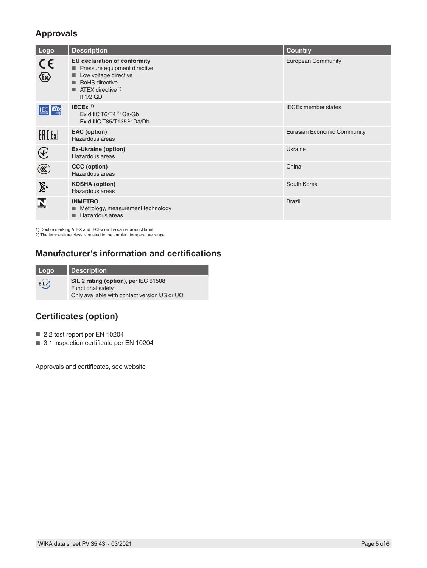# **Approvals**

| Logo                                                 | <b>Description</b>                                                                                                                                                    | <b>Country</b>                     |
|------------------------------------------------------|-----------------------------------------------------------------------------------------------------------------------------------------------------------------------|------------------------------------|
| $C \in$<br>$\bigotimes$                              | EU declaration of conformity<br>Pressure equipment directive<br>Low voltage directive<br>RoHS directive<br>$\blacksquare$ ATEX directive <sup>1)</sup><br>$II$ 1/2 GD | <b>European Community</b>          |
| <b>IEC IECE</b> x                                    | $IECEX$ <sup>1)</sup><br>Ex d IIC T6/T4 $2$ Ga/Gb<br>Ex d IIIC T85/T135 $^{2}$ Da/Db                                                                                  | <b>IECEx member states</b>         |
| <b>EACE</b> x                                        | <b>EAC</b> (option)<br>Hazardous areas                                                                                                                                | <b>Eurasian Economic Community</b> |
| $\bigcircled{\hspace{-0.2cm}{\rm E}\hspace{-0.2cm}}$ | <b>Ex-Ukraine (option)</b><br>Hazardous areas                                                                                                                         | Ukraine                            |
| $^{\circledR}$                                       | CCC (option)<br>Hazardous areas                                                                                                                                       | China                              |
| $\mathbb{Z}^2$                                       | <b>KOSHA</b> (option)<br>Hazardous areas                                                                                                                              | South Korea                        |
| $\sum_{\text{max} \text{ tro}}$                      | <b>INMETRO</b><br>■ Metrology, measurement technology<br>Hazardous areas                                                                                              | <b>Brazil</b>                      |

1) Double marking ATEX and IECEx on the same product label 2) The temperature class is related to the ambient temperature range

## **Manufacturer's information and certifications**

| Logo  | <b>Description</b>                                                                                               |
|-------|------------------------------------------------------------------------------------------------------------------|
| siL√) | SIL 2 rating (option), per IEC 61508<br><b>Functional safety</b><br>Only available with contact version US or UO |

# **Certificates (option)**

- 2.2 test report per EN 10204
- 3.1 inspection certificate per EN 10204

Approvals and certificates, see website